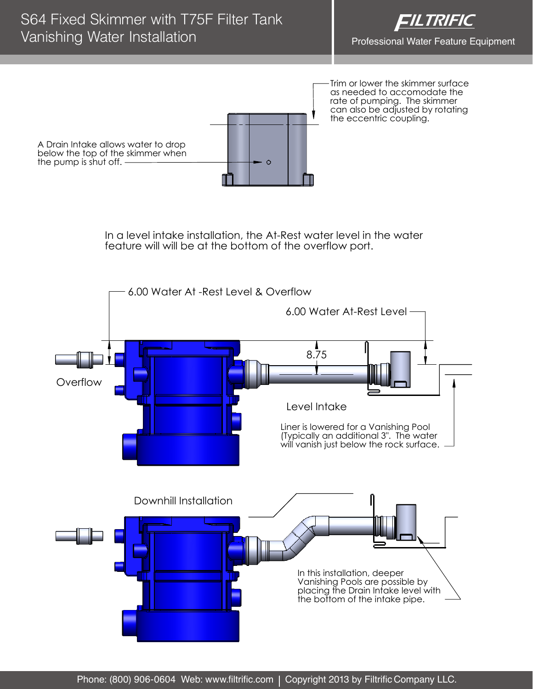

Trim or lower the skimmer surface as needed to accomodate the rate of pumping. The skimmer can also be adjusted by rotating the eccentric coupling. A Drain Intake allows water to drop below the top of the skimmer when the pump is shut off.  $\Omega$ 

> In a level intake installation, the At-Rest water level in the water feature will will be at the bottom of the overflow port.

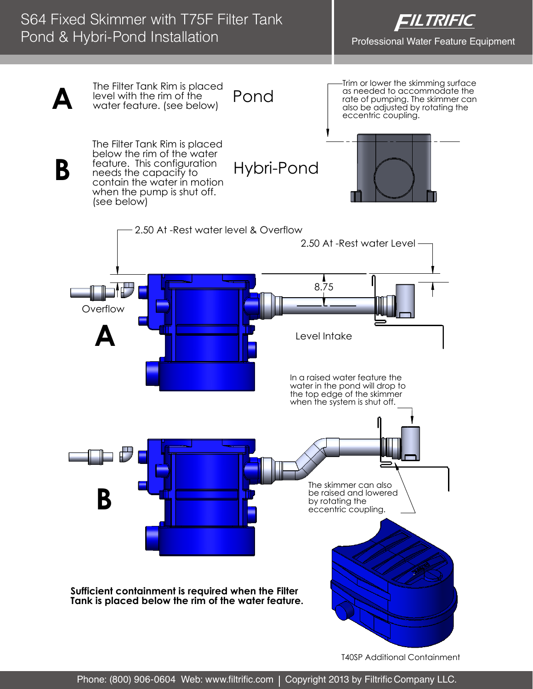## S64 Fixed Skimmer with T75F Filter Tank Pond & Hybri-Pond Installation



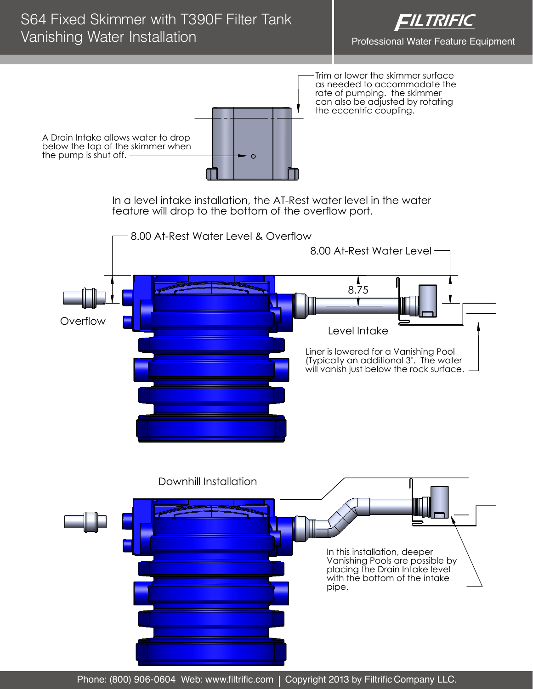

Trim or lower the skimmer surface as needed to accommodate the rate of pumping. the skimmer can also be adjusted by rotating the eccentric coupling.

A Drain Intake allows water to drop below the top of the skimmer when the pump is shut off.

> In a level intake installation, the AT-Rest water level in the water feature will drop to the bottom of the overflow port.



In this installation, deeper Vanishing Pools are possible by placing the Drain Intake level with the bottom of the intake pipe.